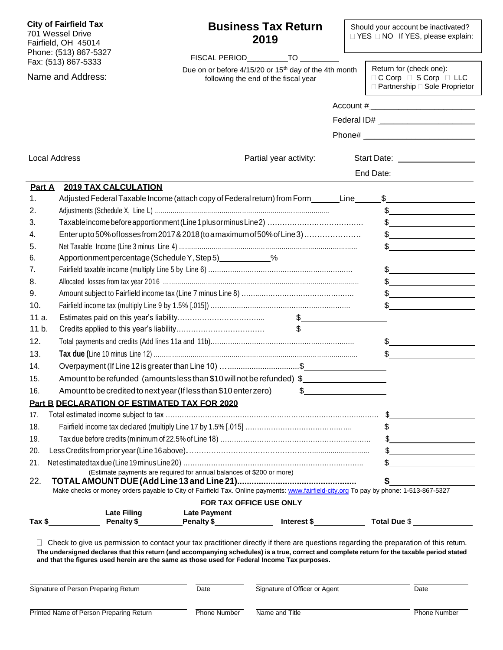| <b>City of Fairfield Tax</b><br>701 Wessel Drive<br>Fairfield, OH 45014<br>Phone: (513) 867-5327 |                                         | <b>Business Tax Return</b><br>2019<br>FISCAL PERIOD_____________TO __________                                                                                                                                                                                                                                                                                                         |                                                                                                           |  | Should your account be inactivated?<br>□ YES □ NO If YES, please explain:                                                                                                                                                                                                                                                                                                                                                                                                                                                                                                      |  |  |
|--------------------------------------------------------------------------------------------------|-----------------------------------------|---------------------------------------------------------------------------------------------------------------------------------------------------------------------------------------------------------------------------------------------------------------------------------------------------------------------------------------------------------------------------------------|-----------------------------------------------------------------------------------------------------------|--|--------------------------------------------------------------------------------------------------------------------------------------------------------------------------------------------------------------------------------------------------------------------------------------------------------------------------------------------------------------------------------------------------------------------------------------------------------------------------------------------------------------------------------------------------------------------------------|--|--|
| Fax: (513) 867-5333<br>Name and Address:                                                         |                                         |                                                                                                                                                                                                                                                                                                                                                                                       | Due on or before 4/15/20 or 15 <sup>th</sup> day of the 4th month<br>following the end of the fiscal year |  | Return for (check one):<br>$\Box$ C Corp $\Box$ S Corp $\Box$ LLC<br>□ Partnership □ Sole Proprietor                                                                                                                                                                                                                                                                                                                                                                                                                                                                           |  |  |
|                                                                                                  |                                         |                                                                                                                                                                                                                                                                                                                                                                                       |                                                                                                           |  |                                                                                                                                                                                                                                                                                                                                                                                                                                                                                                                                                                                |  |  |
|                                                                                                  |                                         |                                                                                                                                                                                                                                                                                                                                                                                       |                                                                                                           |  | Federal ID# _________________________                                                                                                                                                                                                                                                                                                                                                                                                                                                                                                                                          |  |  |
|                                                                                                  |                                         |                                                                                                                                                                                                                                                                                                                                                                                       |                                                                                                           |  |                                                                                                                                                                                                                                                                                                                                                                                                                                                                                                                                                                                |  |  |
|                                                                                                  |                                         |                                                                                                                                                                                                                                                                                                                                                                                       |                                                                                                           |  |                                                                                                                                                                                                                                                                                                                                                                                                                                                                                                                                                                                |  |  |
| <b>Local Address</b>                                                                             |                                         |                                                                                                                                                                                                                                                                                                                                                                                       | Partial year activity:                                                                                    |  | Start Date: __________________                                                                                                                                                                                                                                                                                                                                                                                                                                                                                                                                                 |  |  |
|                                                                                                  |                                         |                                                                                                                                                                                                                                                                                                                                                                                       |                                                                                                           |  | End Date: <u>___________________</u>                                                                                                                                                                                                                                                                                                                                                                                                                                                                                                                                           |  |  |
| Part A                                                                                           | <b>2019 TAX CALCULATION</b>             |                                                                                                                                                                                                                                                                                                                                                                                       |                                                                                                           |  |                                                                                                                                                                                                                                                                                                                                                                                                                                                                                                                                                                                |  |  |
| 1.                                                                                               |                                         | Adjusted Federal Taxable Income (attach copy of Federal return) from Form_______Line_______                                                                                                                                                                                                                                                                                           |                                                                                                           |  | $\mathfrak{S}$                                                                                                                                                                                                                                                                                                                                                                                                                                                                                                                                                                 |  |  |
| 2.                                                                                               |                                         |                                                                                                                                                                                                                                                                                                                                                                                       |                                                                                                           |  |                                                                                                                                                                                                                                                                                                                                                                                                                                                                                                                                                                                |  |  |
| 3.                                                                                               |                                         |                                                                                                                                                                                                                                                                                                                                                                                       |                                                                                                           |  | $\begin{array}{c c} \uparrow \end{array}$                                                                                                                                                                                                                                                                                                                                                                                                                                                                                                                                      |  |  |
| 4.                                                                                               |                                         | Enterupto 50% of losses from 2017 & 2018 (to a maximum of 50% of Line 3)                                                                                                                                                                                                                                                                                                              |                                                                                                           |  | $\begin{array}{c c} \n\multicolumn{3}{c }{\textbf{\textcolor{red}{\bf\textcolor{green}{\bf\textcolor{green}{\bf\textcolor{green}{\bf\textcolor{green}{\bf\textcolor{green}{\bf\textcolor{green}{\bf\textcolor{green}{\bf\textcolor{green}{\bf\textcolor{green}{\bf\textcolor{green}{\bf\textcolor{green}{\bf\textcolor{green}{\bf\textcolor{green}{\bf\textcolor{green}{\bf\textcolor{green}{\bf\textcolor{green}{\bf\textcolor{green}{\bf\textcolor{blue}{\bf\textcolor{blue}{\bf\textcolor{blue}{\bf\textcolor{blue}{\bf\textcolor{blue}{\bf\textcolor{blue}{\bf\textcolor{$ |  |  |
| 5.                                                                                               |                                         |                                                                                                                                                                                                                                                                                                                                                                                       |                                                                                                           |  | $\begin{array}{c c} \uparrow \end{array}$                                                                                                                                                                                                                                                                                                                                                                                                                                                                                                                                      |  |  |
| 6.                                                                                               |                                         | Apportionment percentage (Schedule Y, Step 5) _____________%                                                                                                                                                                                                                                                                                                                          |                                                                                                           |  |                                                                                                                                                                                                                                                                                                                                                                                                                                                                                                                                                                                |  |  |
| 7.                                                                                               |                                         |                                                                                                                                                                                                                                                                                                                                                                                       |                                                                                                           |  | $\begin{array}{c c} \uparrow \end{array}$                                                                                                                                                                                                                                                                                                                                                                                                                                                                                                                                      |  |  |
| 8.                                                                                               |                                         |                                                                                                                                                                                                                                                                                                                                                                                       |                                                                                                           |  | $\frac{1}{2}$                                                                                                                                                                                                                                                                                                                                                                                                                                                                                                                                                                  |  |  |
| 9.                                                                                               |                                         |                                                                                                                                                                                                                                                                                                                                                                                       |                                                                                                           |  |                                                                                                                                                                                                                                                                                                                                                                                                                                                                                                                                                                                |  |  |
| 10.                                                                                              |                                         |                                                                                                                                                                                                                                                                                                                                                                                       |                                                                                                           |  | $\frac{1}{2}$<br>$\frac{1}{2}$                                                                                                                                                                                                                                                                                                                                                                                                                                                                                                                                                 |  |  |
| 11 a.                                                                                            |                                         |                                                                                                                                                                                                                                                                                                                                                                                       |                                                                                                           |  |                                                                                                                                                                                                                                                                                                                                                                                                                                                                                                                                                                                |  |  |
| 11 b.                                                                                            |                                         |                                                                                                                                                                                                                                                                                                                                                                                       |                                                                                                           |  |                                                                                                                                                                                                                                                                                                                                                                                                                                                                                                                                                                                |  |  |
| 12.                                                                                              |                                         |                                                                                                                                                                                                                                                                                                                                                                                       |                                                                                                           |  |                                                                                                                                                                                                                                                                                                                                                                                                                                                                                                                                                                                |  |  |
|                                                                                                  |                                         |                                                                                                                                                                                                                                                                                                                                                                                       |                                                                                                           |  | $\frac{1}{2}$                                                                                                                                                                                                                                                                                                                                                                                                                                                                                                                                                                  |  |  |
| 13.                                                                                              |                                         |                                                                                                                                                                                                                                                                                                                                                                                       |                                                                                                           |  | \$                                                                                                                                                                                                                                                                                                                                                                                                                                                                                                                                                                             |  |  |
| 14.                                                                                              |                                         | Overpayment (If Line 12 is greater than Line 10)  \$                                                                                                                                                                                                                                                                                                                                  |                                                                                                           |  |                                                                                                                                                                                                                                                                                                                                                                                                                                                                                                                                                                                |  |  |
| 15.                                                                                              |                                         | Amount to be refunded (amounts less than \$10 will not be refunded) $\frac{1}{2}$                                                                                                                                                                                                                                                                                                     |                                                                                                           |  |                                                                                                                                                                                                                                                                                                                                                                                                                                                                                                                                                                                |  |  |
| 16.                                                                                              |                                         | Amount to be credited to next year (If less than \$10 enter zero)                                                                                                                                                                                                                                                                                                                     |                                                                                                           |  |                                                                                                                                                                                                                                                                                                                                                                                                                                                                                                                                                                                |  |  |
|                                                                                                  |                                         | Part B DECLARATION OF ESTIMATED TAX FOR 2020                                                                                                                                                                                                                                                                                                                                          |                                                                                                           |  |                                                                                                                                                                                                                                                                                                                                                                                                                                                                                                                                                                                |  |  |
| 17.                                                                                              |                                         |                                                                                                                                                                                                                                                                                                                                                                                       |                                                                                                           |  |                                                                                                                                                                                                                                                                                                                                                                                                                                                                                                                                                                                |  |  |
| 18.                                                                                              |                                         |                                                                                                                                                                                                                                                                                                                                                                                       |                                                                                                           |  |                                                                                                                                                                                                                                                                                                                                                                                                                                                                                                                                                                                |  |  |
| 19.                                                                                              |                                         |                                                                                                                                                                                                                                                                                                                                                                                       |                                                                                                           |  | $\frac{1}{2}$                                                                                                                                                                                                                                                                                                                                                                                                                                                                                                                                                                  |  |  |
| 20.                                                                                              |                                         |                                                                                                                                                                                                                                                                                                                                                                                       |                                                                                                           |  | $\begin{array}{c c c c c} \hline \texttt{S} & \texttt{S} & \texttt{S} & \texttt{S} & \texttt{S} & \texttt{S} & \texttt{S} & \texttt{S} & \texttt{S} & \texttt{S} & \texttt{S} & \texttt{S} & \texttt{S} & \texttt{S} & \texttt{S} & \texttt{S} & \texttt{S} & \texttt{S} & \texttt{S} & \texttt{S} & \texttt{S} & \texttt{S} & \texttt{S} & \texttt{S} & \texttt{S} & \texttt{S} & \texttt{S} & \texttt{S} & \texttt{S}$                                                                                                                                                       |  |  |
| 21.<br>22.                                                                                       |                                         | (Estimate payments are required for annual balances of \$200 or more)                                                                                                                                                                                                                                                                                                                 |                                                                                                           |  | $\sim$                                                                                                                                                                                                                                                                                                                                                                                                                                                                                                                                                                         |  |  |
|                                                                                                  |                                         | Make checks or money orders payable to City of Fairfield Tax. Online payments: www.fairfield-city.org To pay by phone: 1-513-867-5327                                                                                                                                                                                                                                                 |                                                                                                           |  |                                                                                                                                                                                                                                                                                                                                                                                                                                                                                                                                                                                |  |  |
|                                                                                                  | <b>Late Filing</b>                      | <b>Late Payment</b>                                                                                                                                                                                                                                                                                                                                                                   | FOR TAX OFFICE USE ONLY                                                                                   |  |                                                                                                                                                                                                                                                                                                                                                                                                                                                                                                                                                                                |  |  |
|                                                                                                  | $\frac{3}{2}$ Tax \$                    | Penalty \$ Penalty \$ Menalty \$ Merest \$ Total Due \$                                                                                                                                                                                                                                                                                                                               |                                                                                                           |  |                                                                                                                                                                                                                                                                                                                                                                                                                                                                                                                                                                                |  |  |
|                                                                                                  |                                         | Check to give us permission to contact your tax practitioner directly if there are questions regarding the preparation of this return.<br>The undersigned declares that this return (and accompanying schedules) is a true, correct and complete return for the taxable period stated<br>and that the figures used herein are the same as those used for Federal Income Tax purposes. |                                                                                                           |  |                                                                                                                                                                                                                                                                                                                                                                                                                                                                                                                                                                                |  |  |
|                                                                                                  | Signature of Person Preparing Return    | <b>Date</b>                                                                                                                                                                                                                                                                                                                                                                           | Signature of Officer or Agent                                                                             |  | Date                                                                                                                                                                                                                                                                                                                                                                                                                                                                                                                                                                           |  |  |
|                                                                                                  | Printed Name of Person Preparing Return | <b>Phone Number</b>                                                                                                                                                                                                                                                                                                                                                                   | Name and Title                                                                                            |  | <b>Phone Number</b>                                                                                                                                                                                                                                                                                                                                                                                                                                                                                                                                                            |  |  |